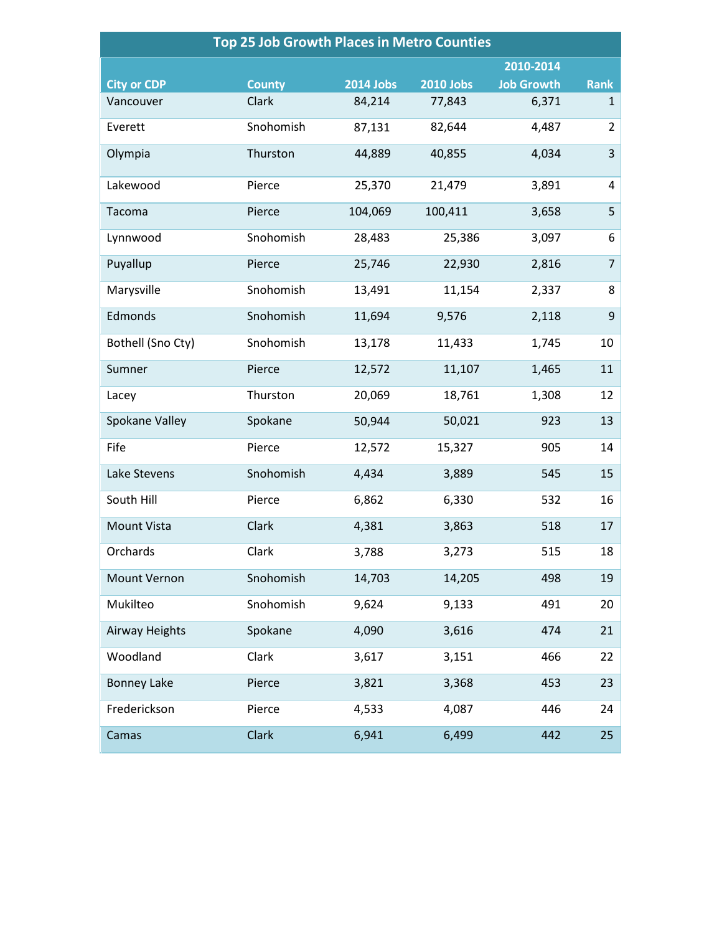| <b>Top 25 Job Growth Places in Metro Counties</b> |               |                  |                  |                   |                |  |  |
|---------------------------------------------------|---------------|------------------|------------------|-------------------|----------------|--|--|
|                                                   |               |                  |                  | 2010-2014         |                |  |  |
| <b>City or CDP</b>                                | <b>County</b> | <b>2014 Jobs</b> | <b>2010 Jobs</b> | <b>Job Growth</b> | <b>Rank</b>    |  |  |
| Vancouver                                         | Clark         | 84,214           | 77,843           | 6,371             | $\mathbf{1}$   |  |  |
| Everett                                           | Snohomish     | 87,131           | 82,644           | 4,487             | $\overline{2}$ |  |  |
| Olympia                                           | Thurston      | 44,889           | 40,855           | 4,034             | 3              |  |  |
| Lakewood                                          | Pierce        | 25,370           | 21,479           | 3,891             | $\overline{4}$ |  |  |
| Tacoma                                            | Pierce        | 104,069          | 100,411          | 3,658             | 5              |  |  |
| Lynnwood                                          | Snohomish     | 28,483           | 25,386           | 3,097             | 6              |  |  |
| Puyallup                                          | Pierce        | 25,746           | 22,930           | 2,816             | $\overline{7}$ |  |  |
| Marysville                                        | Snohomish     | 13,491           | 11,154           | 2,337             | 8              |  |  |
| Edmonds                                           | Snohomish     | 11,694           | 9,576            | 2,118             | 9              |  |  |
| Bothell (Sno Cty)                                 | Snohomish     | 13,178           | 11,433           | 1,745             | 10             |  |  |
| Sumner                                            | Pierce        | 12,572           | 11,107           | 1,465             | 11             |  |  |
| Lacey                                             | Thurston      | 20,069           | 18,761           | 1,308             | 12             |  |  |
| Spokane Valley                                    | Spokane       | 50,944           | 50,021           | 923               | 13             |  |  |
| Fife                                              | Pierce        | 12,572           | 15,327           | 905               | 14             |  |  |
| Lake Stevens                                      | Snohomish     | 4,434            | 3,889            | 545               | 15             |  |  |
| South Hill                                        | Pierce        | 6,862            | 6,330            | 532               | 16             |  |  |
| <b>Mount Vista</b>                                | Clark         | 4,381            | 3,863            | 518               | 17             |  |  |
| Orchards                                          | Clark         | 3,788            | 3,273            | 515               | 18             |  |  |
| Mount Vernon                                      | Snohomish     | 14,703           | 14,205           | 498               | 19             |  |  |
| Mukilteo                                          | Snohomish     | 9,624            | 9,133            | 491               | 20             |  |  |
| Airway Heights                                    | Spokane       | 4,090            | 3,616            | 474               | 21             |  |  |
| Woodland                                          | Clark         | 3,617            | 3,151            | 466               | 22             |  |  |
| <b>Bonney Lake</b>                                | Pierce        | 3,821            | 3,368            | 453               | 23             |  |  |
| Frederickson                                      | Pierce        | 4,533            | 4,087            | 446               | 24             |  |  |
| Camas                                             | <b>Clark</b>  | 6,941            | 6,499            | 442               | 25             |  |  |